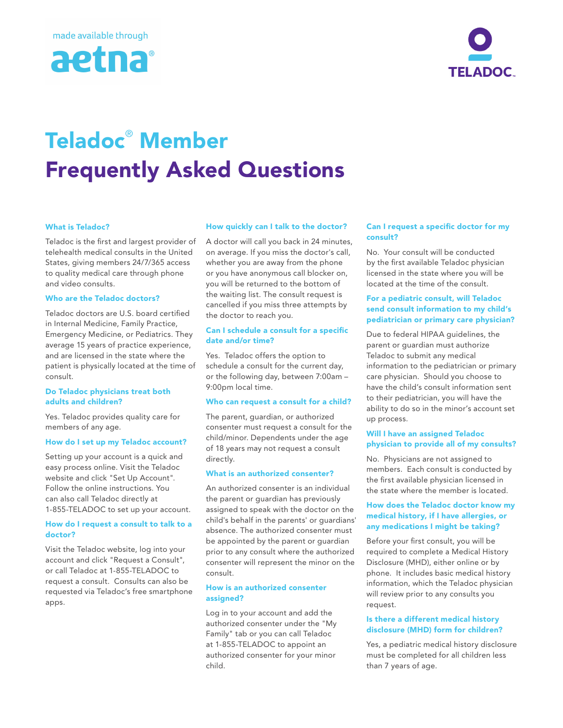



# Teladoc® Member Frequently Asked Questions

### What is Teladoc?

Teladoc is the first and largest provider of telehealth medical consults in the United States, giving members 24/7/365 access to quality medical care through phone and video consults.

#### Who are the Teladoc doctors?

Teladoc doctors are U.S. board certified in Internal Medicine, Family Practice, Emergency Medicine, or Pediatrics. They average 15 years of practice experience, and are licensed in the state where the patient is physically located at the time of consult.

#### Do Teladoc physicians treat both adults and children?

Yes. Teladoc provides quality care for members of any age.

#### How do I set up my Teladoc account?

Setting up your account is a quick and easy process online. Visit the Teladoc website and click "Set Up Account". Follow the online instructions. You can also call Teladoc directly at 1-855-TELADOC to set up your account.

#### How do I request a consult to talk to a doctor?

Visit the Teladoc website, log into your account and click "Request a Consult", or call Teladoc at 1-855-TELADOC to request a consult. Consults can also be requested via Teladoc's free smartphone apps.

#### How quickly can I talk to the doctor?

A doctor will call you back in 24 minutes, on average. If you miss the doctor's call, whether you are away from the phone or you have anonymous call blocker on, you will be returned to the bottom of the waiting list. The consult request is cancelled if you miss three attempts by the doctor to reach you.

#### Can I schedule a consult for a specific date and/or time?

Yes. Teladoc offers the option to schedule a consult for the current day, or the following day, between 7:00am – 9:00pm local time.

#### Who can request a consult for a child?

The parent, guardian, or authorized consenter must request a consult for the child/minor. Dependents under the age of 18 years may not request a consult directly.

#### What is an authorized consenter?

An authorized consenter is an individual the parent or guardian has previously assigned to speak with the doctor on the child's behalf in the parents' or guardians' absence. The authorized consenter must be appointed by the parent or guardian prior to any consult where the authorized consenter will represent the minor on the consult.

#### How is an authorized consenter assigned?

Log in to your account and add the authorized consenter under the "My Family" tab or you can call Teladoc at 1-855-TELADOC to appoint an authorized consenter for your minor child.

#### Can I request a specific doctor for my consult?

No. Your consult will be conducted by the first available Teladoc physician licensed in the state where you will be located at the time of the consult.

### For a pediatric consult, will Teladoc send consult information to my child's pediatrician or primary care physician?

Due to federal HIPAA guidelines, the parent or guardian must authorize Teladoc to submit any medical information to the pediatrician or primary care physician. Should you choose to have the child's consult information sent to their pediatrician, you will have the ability to do so in the minor's account set up process.

#### Will I have an assigned Teladoc physician to provide all of my consults?

No. Physicians are not assigned to members. Each consult is conducted by the first available physician licensed in the state where the member is located.

#### How does the Teladoc doctor know my medical history, if I have allergies, or any medications I might be taking?

Before your first consult, you will be required to complete a Medical History Disclosure (MHD), either online or by phone. It includes basic medical history information, which the Teladoc physician will review prior to any consults you request.

#### Is there a different medical history disclosure (MHD) form for children?

Yes, a pediatric medical history disclosure must be completed for all children less than 7 years of age.